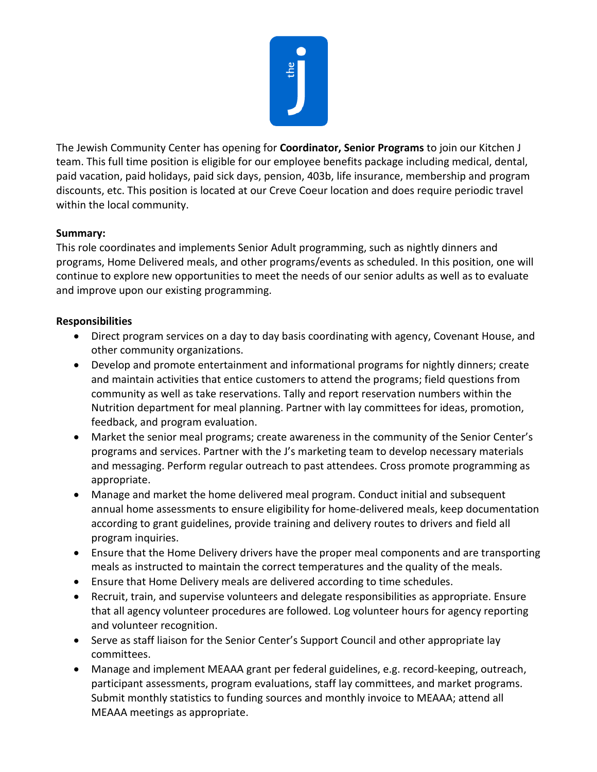

The Jewish Community Center has opening for **Coordinator, Senior Programs** to join our Kitchen J team. This full time position is eligible for our employee benefits package including medical, dental, paid vacation, paid holidays, paid sick days, pension, 403b, life insurance, membership and program discounts, etc. This position is located at our Creve Coeur location and does require periodic travel within the local community.

## **Summary:**

This role coordinates and implements Senior Adult programming, such as nightly dinners and programs, Home Delivered meals, and other programs/events as scheduled. In this position, one will continue to explore new opportunities to meet the needs of our senior adults as well as to evaluate and improve upon our existing programming.

## **Responsibilities**

- Direct program services on a day to day basis coordinating with agency, Covenant House, and other community organizations.
- Develop and promote entertainment and informational programs for nightly dinners; create and maintain activities that entice customers to attend the programs; field questions from community as well as take reservations. Tally and report reservation numbers within the Nutrition department for meal planning. Partner with lay committees for ideas, promotion, feedback, and program evaluation.
- Market the senior meal programs; create awareness in the community of the Senior Center's programs and services. Partner with the J's marketing team to develop necessary materials and messaging. Perform regular outreach to past attendees. Cross promote programming as appropriate.
- Manage and market the home delivered meal program. Conduct initial and subsequent annual home assessments to ensure eligibility for home-delivered meals, keep documentation according to grant guidelines, provide training and delivery routes to drivers and field all program inquiries.
- Ensure that the Home Delivery drivers have the proper meal components and are transporting meals as instructed to maintain the correct temperatures and the quality of the meals.
- Ensure that Home Delivery meals are delivered according to time schedules.
- Recruit, train, and supervise volunteers and delegate responsibilities as appropriate. Ensure that all agency volunteer procedures are followed. Log volunteer hours for agency reporting and volunteer recognition.
- Serve as staff liaison for the Senior Center's Support Council and other appropriate lay committees.
- Manage and implement MEAAA grant per federal guidelines, e.g. record-keeping, outreach, participant assessments, program evaluations, staff lay committees, and market programs. Submit monthly statistics to funding sources and monthly invoice to MEAAA; attend all MEAAA meetings as appropriate.